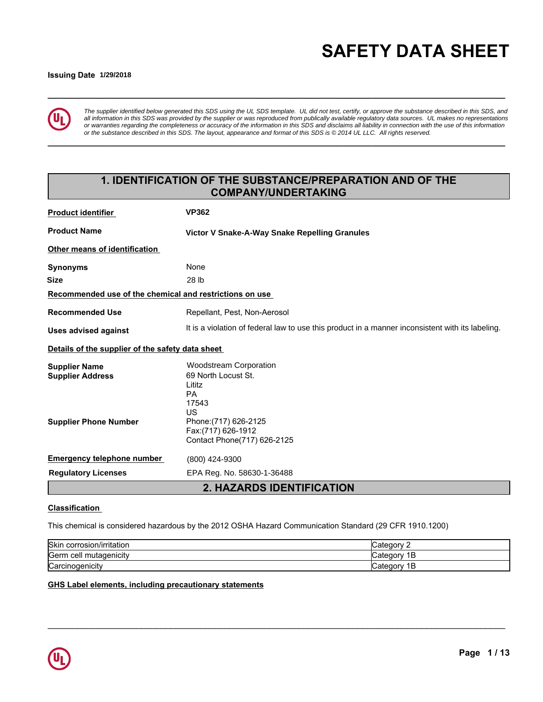# **\_\_\_\_\_\_\_\_\_\_\_\_\_\_\_\_\_\_\_\_\_\_\_\_\_\_\_\_\_\_\_\_\_\_\_\_\_\_\_\_\_\_\_\_\_\_\_\_\_\_\_\_\_\_\_\_\_\_\_\_\_\_\_\_\_\_\_\_\_\_\_\_\_\_\_\_\_\_\_\_\_\_\_\_\_\_\_\_\_\_\_\_\_ SAFETY DATA SHEET**

# **Issuing Date 5/01/2015 1/29/2018**



*The supplier identified below generated this SDS using the UL SDS template. UL did not test, certify, or approve the substance described in this SDS, and all information in this SDS was provided by the supplier or was reproduced from publically available regulatory data sources. UL makes no representations or warranties regarding the completeness or accuracy of the information in this SDS and disclaims all liability in connection with the use of this information or the substance described in this SDS. The layout, appearance and format of this SDS is © 2014 UL LLC. All rights reserved.*

**\_\_\_\_\_\_\_\_\_\_\_\_\_\_\_\_\_\_\_\_\_\_\_\_\_\_\_\_\_\_\_\_\_\_\_\_\_\_\_\_\_\_\_\_\_\_\_\_\_\_\_\_\_\_\_\_\_\_\_\_\_\_\_\_\_\_\_\_\_\_\_\_\_\_\_\_\_\_\_\_\_\_\_\_\_\_\_\_\_\_\_\_\_**

# **1. IDENTIFICATION OF THE SUBSTANCE/PREPARATION AND OF THE COMPANY/UNDERTAKING**

| <b>Product identifier</b>                               | <b>VP362</b>                                                                                     |
|---------------------------------------------------------|--------------------------------------------------------------------------------------------------|
| <b>Product Name</b>                                     | Victor V Snake-A-Way Snake Repelling Granules                                                    |
| Other means of identification                           |                                                                                                  |
| <b>Synonyms</b>                                         | None                                                                                             |
| <b>Size</b>                                             | 28 lb                                                                                            |
| Recommended use of the chemical and restrictions on use |                                                                                                  |
| <b>Recommended Use</b>                                  | Repellant, Pest, Non-Aerosol                                                                     |
| <b>Uses advised against</b>                             | It is a violation of federal law to use this product in a manner inconsistent with its labeling. |
| Details of the supplier of the safety data sheet        |                                                                                                  |
| <b>Supplier Name</b>                                    | <b>Woodstream Corporation</b>                                                                    |
| <b>Supplier Address</b>                                 | 69 North Locust St.                                                                              |
|                                                         | Lititz<br><b>PA</b>                                                                              |
|                                                         | 17543                                                                                            |
|                                                         | US                                                                                               |
| <b>Supplier Phone Number</b>                            | Phone: (717) 626-2125<br>Fax: (717) 626-1912                                                     |
|                                                         | Contact Phone(717) 626-2125                                                                      |
| <b>Emergency telephone number</b>                       | (800) 424-9300                                                                                   |
| <b>Regulatory Licenses</b>                              | EPA Reg. No. 58630-1-36488                                                                       |
|                                                         | <b>2. HAZARDS IDENTIFICATION</b>                                                                 |

# **Classification**

This chemical is considered hazardous by the 2012 OSHA Hazard Communication Standard (29 CFR 1910.1200)

| Skin corrosion/irritation  | ∵ategorvٽ       |
|----------------------------|-----------------|
| Germ<br>⊦cell mutaɑenıcıtv | В<br>∵ategorvٽ  |
| Carcinogenicity            | 1В<br>∵ategorvٽ |

\_\_\_\_\_\_\_\_\_\_\_\_\_\_\_\_\_\_\_\_\_\_\_\_\_\_\_\_\_\_\_\_\_\_\_\_\_\_\_\_\_\_\_\_\_\_\_\_\_\_\_\_\_\_\_\_\_\_\_\_\_\_\_\_\_\_\_\_\_\_\_\_\_\_\_\_\_\_\_\_\_\_\_\_\_\_\_\_\_\_\_\_\_

# **GHS Label elements, including precautionary statements**

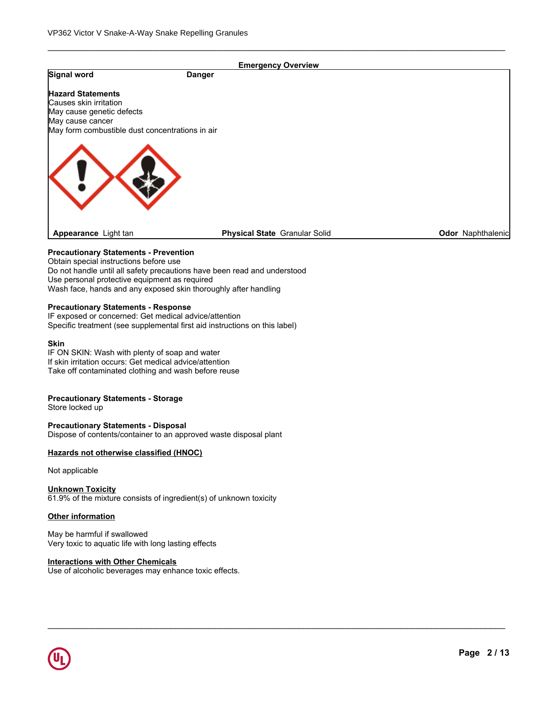|                                                                                                                                                                                  | <b>Emergency Overview</b>                                                                                                                   |                   |
|----------------------------------------------------------------------------------------------------------------------------------------------------------------------------------|---------------------------------------------------------------------------------------------------------------------------------------------|-------------------|
| Signal word                                                                                                                                                                      | <b>Danger</b>                                                                                                                               |                   |
| <b>Hazard Statements</b>                                                                                                                                                         |                                                                                                                                             |                   |
| Causes skin irritation                                                                                                                                                           |                                                                                                                                             |                   |
| May cause genetic defects                                                                                                                                                        |                                                                                                                                             |                   |
| May cause cancer                                                                                                                                                                 |                                                                                                                                             |                   |
| May form combustible dust concentrations in air                                                                                                                                  |                                                                                                                                             |                   |
|                                                                                                                                                                                  |                                                                                                                                             |                   |
| Appearance Light tan                                                                                                                                                             | Physical State Granular Solid                                                                                                               | Odor Naphthalenic |
| <b>Precautionary Statements - Prevention</b><br>Obtain special instructions before use<br>Use personal protective equipment as required                                          | Do not handle until all safety precautions have been read and understood<br>Wash face, hands and any exposed skin thoroughly after handling |                   |
| <b>Precautionary Statements - Response</b><br>IF exposed or concerned: Get medical advice/attention                                                                              | Specific treatment (see supplemental first aid instructions on this label)                                                                  |                   |
| <b>Skin</b><br>IF ON SKIN: Wash with plenty of soap and water<br>If skin irritation occurs: Get medical advice/attention<br>Take off contaminated clothing and wash before reuse |                                                                                                                                             |                   |
| <b>Precautionary Statements - Storage</b><br>Store locked up                                                                                                                     |                                                                                                                                             |                   |
| <b>Precautionary Statements - Disposal</b>                                                                                                                                       | Dispose of contents/container to an approved waste disposal plant                                                                           |                   |
| Hazards not otherwise classified (HNOC)                                                                                                                                          |                                                                                                                                             |                   |

\_\_\_\_\_\_\_\_\_\_\_\_\_\_\_\_\_\_\_\_\_\_\_\_\_\_\_\_\_\_\_\_\_\_\_\_\_\_\_\_\_\_\_\_\_\_\_\_\_\_\_\_\_\_\_\_\_\_\_\_\_\_\_\_\_\_\_\_\_\_\_\_\_\_\_\_\_\_\_\_\_\_\_\_\_\_\_\_\_\_\_\_\_

Not applicable

**Unknown Toxicity** 61.9% of the mixture consists of ingredient(s) of unknown toxicity

# **Other information**

May be harmful if swallowed Very toxic to aquatic life with long lasting effects

# **Interactions with Other Chemicals**

Use of alcoholic beverages may enhance toxic effects.

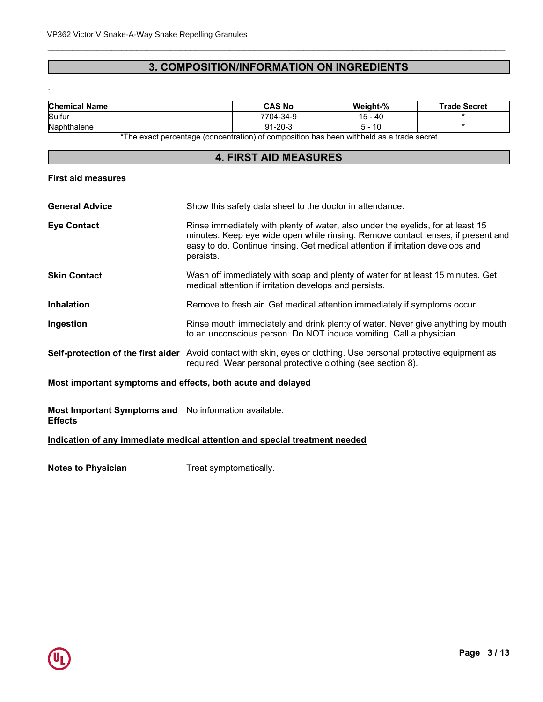# **3. COMPOSITION/INFORMATION ON INGREDIENTS**

\_\_\_\_\_\_\_\_\_\_\_\_\_\_\_\_\_\_\_\_\_\_\_\_\_\_\_\_\_\_\_\_\_\_\_\_\_\_\_\_\_\_\_\_\_\_\_\_\_\_\_\_\_\_\_\_\_\_\_\_\_\_\_\_\_\_\_\_\_\_\_\_\_\_\_\_\_\_\_\_\_\_\_\_\_\_\_\_\_\_\_\_\_

| <b>Chemical Name</b> | <b>CAS No</b>     | Weight-%     | <b>Trade Secret</b> |
|----------------------|-------------------|--------------|---------------------|
| Sulfur               | $7704 -$<br>-34-9 | $15 -$<br>40 |                     |
| Naphthalene          | $-20-$<br>ົ^ 1    | ιu           |                     |

\*The exact percentage (concentration) of composition has been withheld as a trade secret

# **4. FIRST AID MEASURES**

# **First aid measures**

.

| <b>General Advice</b>                                       | Show this safety data sheet to the doctor in attendance.                                                                                                                                                                                                           |
|-------------------------------------------------------------|--------------------------------------------------------------------------------------------------------------------------------------------------------------------------------------------------------------------------------------------------------------------|
| <b>Eye Contact</b>                                          | Rinse immediately with plenty of water, also under the eyelids, for at least 15<br>minutes. Keep eye wide open while rinsing. Remove contact lenses, if present and<br>easy to do. Continue rinsing. Get medical attention if irritation develops and<br>persists. |
| <b>Skin Contact</b>                                         | Wash off immediately with soap and plenty of water for at least 15 minutes. Get<br>medical attention if irritation develops and persists.                                                                                                                          |
| <b>Inhalation</b>                                           | Remove to fresh air. Get medical attention immediately if symptoms occur.                                                                                                                                                                                          |
| Ingestion                                                   | Rinse mouth immediately and drink plenty of water. Never give anything by mouth<br>to an unconscious person. Do NOT induce vomiting. Call a physician.                                                                                                             |
|                                                             | Self-protection of the first aider Avoid contact with skin, eyes or clothing. Use personal protective equipment as<br>required. Wear personal protective clothing (see section 8).                                                                                 |
| Most important symptoms and effects, both acute and delayed |                                                                                                                                                                                                                                                                    |
|                                                             |                                                                                                                                                                                                                                                                    |

\_\_\_\_\_\_\_\_\_\_\_\_\_\_\_\_\_\_\_\_\_\_\_\_\_\_\_\_\_\_\_\_\_\_\_\_\_\_\_\_\_\_\_\_\_\_\_\_\_\_\_\_\_\_\_\_\_\_\_\_\_\_\_\_\_\_\_\_\_\_\_\_\_\_\_\_\_\_\_\_\_\_\_\_\_\_\_\_\_\_\_\_\_

**Most Important Symptoms and** No information available. **Effects**

**Indication of any immediate medical attention and special treatment needed**

**Notes to Physician** Treat symptomatically.

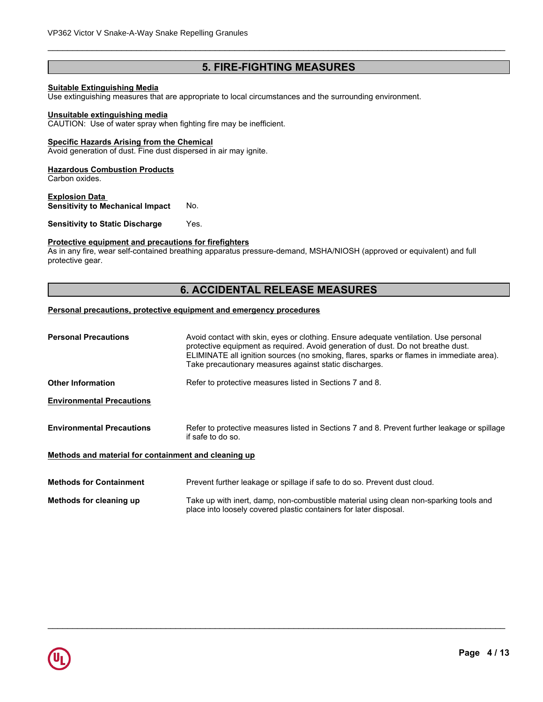# **5. FIRE-FIGHTING MEASURES**

\_\_\_\_\_\_\_\_\_\_\_\_\_\_\_\_\_\_\_\_\_\_\_\_\_\_\_\_\_\_\_\_\_\_\_\_\_\_\_\_\_\_\_\_\_\_\_\_\_\_\_\_\_\_\_\_\_\_\_\_\_\_\_\_\_\_\_\_\_\_\_\_\_\_\_\_\_\_\_\_\_\_\_\_\_\_\_\_\_\_\_\_\_

#### **Suitable Extinguishing Media**

Use extinguishing measures that are appropriate to local circumstances and the surrounding environment.

#### **Unsuitable extinguishing media**

CAUTION: Use of water spray when fighting fire may be inefficient.

#### **Specific Hazards Arising from the Chemical**

Avoid generation of dust. Fine dust dispersed in air may ignite.

#### **Hazardous Combustion Products**

Carbon oxides.

#### **Explosion Data Sensitivity to Mechanical Impact No.**

**Sensitivity to Static Discharge Yes.** 

#### **Protective equipment and precautions for firefighters**

As in any fire, wear self-contained breathing apparatus pressure-demand, MSHA/NIOSH (approved or equivalent) and full protective gear.

# **6. ACCIDENTAL RELEASE MEASURES**

# **Personal precautions, protective equipment and emergency procedures**

| <b>Personal Precautions</b>                          | Avoid contact with skin, eyes or clothing. Ensure adequate ventilation. Use personal<br>protective equipment as required. Avoid generation of dust. Do not breathe dust.<br>ELIMINATE all ignition sources (no smoking, flares, sparks or flames in immediate area).<br>Take precautionary measures against static discharges. |
|------------------------------------------------------|--------------------------------------------------------------------------------------------------------------------------------------------------------------------------------------------------------------------------------------------------------------------------------------------------------------------------------|
| <b>Other Information</b>                             | Refer to protective measures listed in Sections 7 and 8.                                                                                                                                                                                                                                                                       |
| <b>Environmental Precautions</b>                     |                                                                                                                                                                                                                                                                                                                                |
| <b>Environmental Precautions</b>                     | Refer to protective measures listed in Sections 7 and 8. Prevent further leakage or spillage<br>if safe to do so.                                                                                                                                                                                                              |
| Methods and material for containment and cleaning up |                                                                                                                                                                                                                                                                                                                                |
| <b>Methods for Containment</b>                       | Prevent further leakage or spillage if safe to do so. Prevent dust cloud.                                                                                                                                                                                                                                                      |
| Methods for cleaning up                              | Take up with inert, damp, non-combustible material using clean non-sparking tools and<br>place into loosely covered plastic containers for later disposal.                                                                                                                                                                     |

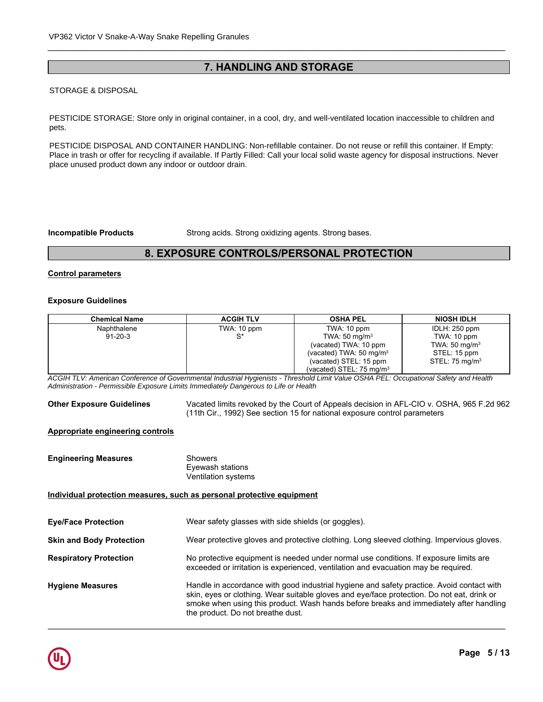# **7. HANDLING AND STORAGE**

\_\_\_\_\_\_\_\_\_\_\_\_\_\_\_\_\_\_\_\_\_\_\_\_\_\_\_\_\_\_\_\_\_\_\_\_\_\_\_\_\_\_\_\_\_\_\_\_\_\_\_\_\_\_\_\_\_\_\_\_\_\_\_\_\_\_\_\_\_\_\_\_\_\_\_\_\_\_\_\_\_\_\_\_\_\_\_\_\_\_\_\_\_

# **STORAGE & DISPOSAL**

**HANDLE STORAGE:** Store only in original container in a cool dry and well-ventilated location inaccessible to children and PESTICIDE STORAGE: Store only in original container, in a cool, dry, and well-ventilated location inaccessible to children and<br>nets pets.

PESTICIDE DISPOSAL AND CONTAINER HANDLING: Non-refillable container. Do not reuse or refill this container. If Empty: heat for a surface surface set  $\alpha$  is a set of the spark of the sparker of the spark  $\alpha$  surfaces. Nowell in the spark  $\alpha$  spark  $\alpha$  sparks. And  $\alpha$  is a spark-proof tools and  $\alpha$  is a spark-proof tools and  $\alpha$  is Place in trash or offer for recycling if available. If Partly Filled: Call your local solid waste agency for disposal instructions. Never<br>Place unused product down any indoor or outdoor drain place unused product down any indoor or outdoor drain.

**Incompatible Products** Strong acids. Strong oxidizing agents. Strong bases.

# **8. EXPOSURE CONTROLS/PERSONAL PROTECTION**

# **Control parameters**

#### **Exposure Guidelines**

| <b>Chemical Name</b> | <b>ACGIH TLV</b> | <b>OSHA PEL</b>                     | <b>NIOSH IDLH</b>         |
|----------------------|------------------|-------------------------------------|---------------------------|
| Naphthalene          | TWA: 10 ppm      | TWA: 10 ppm                         | IDLH: 250 ppm             |
| $91 - 20 - 3$        | c*               | TWA: $50 \text{ mg/m}^3$            | TWA: 10 ppm               |
|                      |                  | (vacated) TWA: 10 ppm               | TWA: $50 \text{ mg/m}^3$  |
|                      |                  | (vacated) TWA: $50 \text{ mg/m}^3$  | STEL: 15 ppm              |
|                      |                  | (vacated) STEL: 15 ppm              | STEL: $75 \text{ mg/m}^3$ |
|                      |                  | (vacated) STEL: $75 \text{ mg/m}^3$ |                           |

*ACGIH TLV: American Conference of Governmental Industrial Hygienists - Threshold Limit Value OSHA PEL: Occupational Safety and Health Administration - Permissible Exposure Limits Immediately Dangerous to Life or Health*

**Other Exposure Guidelines** Vacated limits revoked by the Court of Appeals decision in AFL-CIO v. OSHA, 965 F.2d 962 (11th Cir., 1992) See section 15 for national exposure control parameters

# **Appropriate engineering controls**

| <b>Engineering Measures</b>                                           | <b>Showers</b><br>Eyewash stations<br>Ventilation systems                                                                                                                                                                                                                                                              |
|-----------------------------------------------------------------------|------------------------------------------------------------------------------------------------------------------------------------------------------------------------------------------------------------------------------------------------------------------------------------------------------------------------|
| Individual protection measures, such as personal protective equipment |                                                                                                                                                                                                                                                                                                                        |
| <b>Eye/Face Protection</b>                                            | Wear safety glasses with side shields (or goggles).                                                                                                                                                                                                                                                                    |
| <b>Skin and Body Protection</b>                                       | Wear protective gloves and protective clothing. Long sleeved clothing. Impervious gloves.                                                                                                                                                                                                                              |
| <b>Respiratory Protection</b>                                         | No protective equipment is needed under normal use conditions. If exposure limits are<br>exceeded or irritation is experienced, ventilation and evacuation may be required.                                                                                                                                            |
| <b>Hygiene Measures</b>                                               | Handle in accordance with good industrial hygiene and safety practice. Avoid contact with<br>skin, eyes or clothing. Wear suitable gloves and eye/face protection. Do not eat, drink or<br>smoke when using this product. Wash hands before breaks and immediately after handling<br>the product. Do not breathe dust. |

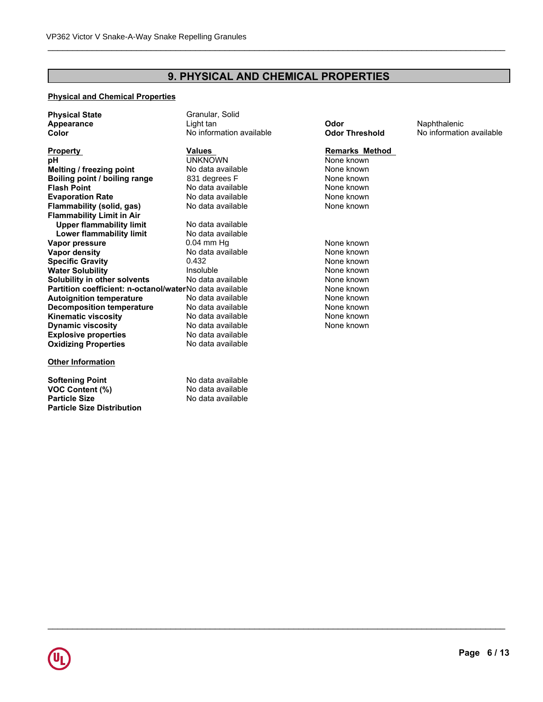# **9. PHYSICAL AND CHEMICAL PROPERTIES**

# **Physical and Chemical Properties**

| <b>Physical State</b>                                   | Granular, Solid          |                       |                          |
|---------------------------------------------------------|--------------------------|-----------------------|--------------------------|
| <b>Appearance</b>                                       | Light tan                | Odor                  | Naphthalenic             |
| Color                                                   | No information available | <b>Odor Threshold</b> | No information available |
| <b>Property</b>                                         | Values                   | <b>Remarks Method</b> |                          |
| pH                                                      | <b>UNKNOWN</b>           | None known            |                          |
| Melting / freezing point                                | No data available        | None known            |                          |
| Boiling point / boiling range                           | 831 degrees F            | None known            |                          |
| <b>Flash Point</b>                                      | No data available        | None known            |                          |
| <b>Evaporation Rate</b>                                 | No data available        | None known            |                          |
| <b>Flammability (solid, gas)</b>                        | No data available        | None known            |                          |
| <b>Flammability Limit in Air</b>                        |                          |                       |                          |
| <b>Upper flammability limit</b>                         | No data available        |                       |                          |
| Lower flammability limit                                | No data available        |                       |                          |
| Vapor pressure                                          | $0.04$ mm Hq             | None known            |                          |
| <b>Vapor density</b>                                    | No data available        | None known            |                          |
| <b>Specific Gravity</b>                                 | 0.432                    | None known            |                          |
| <b>Water Solubility</b>                                 | Insoluble                | None known            |                          |
| Solubility in other solvents                            | No data available        | None known            |                          |
| Partition coefficient: n-octanol/waterNo data available |                          | None known            |                          |
| <b>Autoignition temperature</b>                         | No data available        | None known            |                          |
| <b>Decomposition temperature</b>                        | No data available        | None known            |                          |
| <b>Kinematic viscosity</b>                              | No data available        | None known            |                          |
| <b>Dynamic viscosity</b>                                | No data available        | None known            |                          |
| <b>Explosive properties</b>                             | No data available        |                       |                          |
| <b>Oxidizing Properties</b>                             | No data available        |                       |                          |
| <b>Other Information</b>                                |                          |                       |                          |
| <b>Softening Point</b>                                  | No data available        |                       |                          |

**VOC Content (%)**<br> **Particle Size**<br> **Particle Size**<br> **No data available Particle Size Distribution**

**No data available** 

\_\_\_\_\_\_\_\_\_\_\_\_\_\_\_\_\_\_\_\_\_\_\_\_\_\_\_\_\_\_\_\_\_\_\_\_\_\_\_\_\_\_\_\_\_\_\_\_\_\_\_\_\_\_\_\_\_\_\_\_\_\_\_\_\_\_\_\_\_\_\_\_\_\_\_\_\_\_\_\_\_\_\_\_\_\_\_\_\_\_\_\_\_

# **Remarks Method**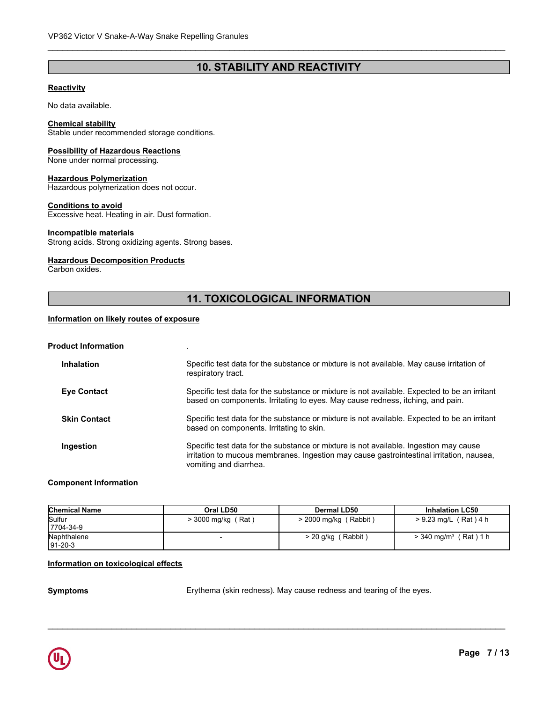# **10. STABILITY AND REACTIVITY**

\_\_\_\_\_\_\_\_\_\_\_\_\_\_\_\_\_\_\_\_\_\_\_\_\_\_\_\_\_\_\_\_\_\_\_\_\_\_\_\_\_\_\_\_\_\_\_\_\_\_\_\_\_\_\_\_\_\_\_\_\_\_\_\_\_\_\_\_\_\_\_\_\_\_\_\_\_\_\_\_\_\_\_\_\_\_\_\_\_\_\_\_\_

# **Reactivity**

No data available.

# **Chemical stability**

Stable under recommended storage conditions.

### **Possibility of Hazardous Reactions**

None under normal processing.

#### **Hazardous Polymerization**

Hazardous polymerization does not occur.

# **Conditions to avoid**

Excessive heat. Heating in air. Dust formation.

# **Incompatible materials**

Strong acids. Strong oxidizing agents. Strong bases.

# **Hazardous Decomposition Products**

Carbon oxides.

# **11. TOXICOLOGICAL INFORMATION**

# **Information on likely routes of exposure**

# **Product Information** .

| <b>Inhalation</b>   | Specific test data for the substance or mixture is not available. May cause irritation of<br>respiratory tract.                                                                                             |
|---------------------|-------------------------------------------------------------------------------------------------------------------------------------------------------------------------------------------------------------|
| <b>Eye Contact</b>  | Specific test data for the substance or mixture is not available. Expected to be an irritant<br>based on components. Irritating to eyes. May cause redness, itching, and pain.                              |
| <b>Skin Contact</b> | Specific test data for the substance or mixture is not available. Expected to be an irritant<br>based on components. Irritating to skin.                                                                    |
| Ingestion           | Specific test data for the substance or mixture is not available. Ingestion may cause<br>irritation to mucous membranes. Ingestion may cause gastrointestinal irritation, nausea,<br>vomiting and diarrhea. |

# **Component Information**

| <b>Chemical Name</b> | Oral LD50                             | <b>Dermal LD50</b>       | <b>Inhalation LC50</b>                |
|----------------------|---------------------------------------|--------------------------|---------------------------------------|
| Sulfur               | (Rat)<br>$>$ 3000 mg/kg $\frac{1}{2}$ | (Rabbit)<br>> 2000 mg/kg | $> 9.23$ mg/L (Rat) 4 h               |
| 7704-34-9            |                                       |                          |                                       |
| Naphthalene          |                                       | ' Rabbit<br>$> 20$ g/kg  | 'Rat)1 h<br>$> 340$ mg/m <sup>3</sup> |
| 191-20-3             |                                       |                          |                                       |

#### **Information on toxicological effects**

**Symptoms** Erythema (skin redness). May cause redness and tearing of the eyes.

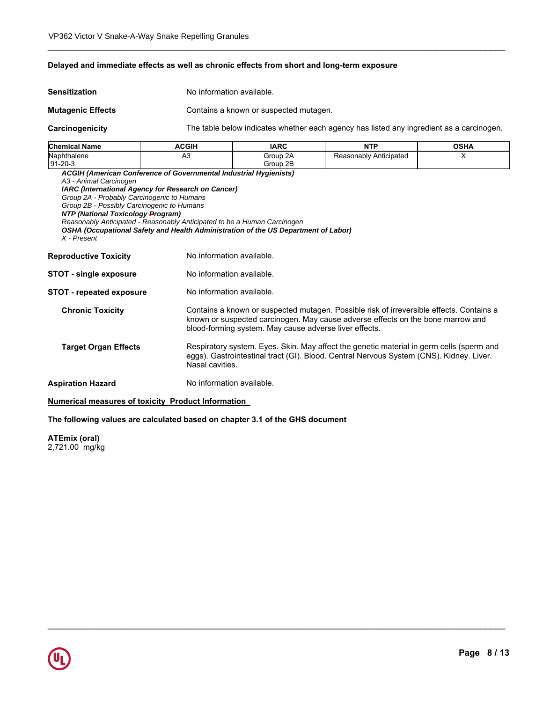# **Delayed and immediate effects as well as chronic effects from short and long-term exposure**

| <b>Sensitization</b>                                                                                                                                                   |                                                                                                                                                                                                                      | No information available.                                                                                                                                                                                                             |                        |             |  |
|------------------------------------------------------------------------------------------------------------------------------------------------------------------------|----------------------------------------------------------------------------------------------------------------------------------------------------------------------------------------------------------------------|---------------------------------------------------------------------------------------------------------------------------------------------------------------------------------------------------------------------------------------|------------------------|-------------|--|
| <b>Mutagenic Effects</b>                                                                                                                                               |                                                                                                                                                                                                                      | Contains a known or suspected mutagen.                                                                                                                                                                                                |                        |             |  |
| Carcinogenicity                                                                                                                                                        |                                                                                                                                                                                                                      | The table below indicates whether each agency has listed any ingredient as a carcinogen.                                                                                                                                              |                        |             |  |
| <b>Chemical Name</b>                                                                                                                                                   | <b>ACGIH</b>                                                                                                                                                                                                         | <b>IARC</b>                                                                                                                                                                                                                           | <b>NTP</b>             | <b>OSHA</b> |  |
| Naphthalene<br>91-20-3                                                                                                                                                 | A <sub>3</sub>                                                                                                                                                                                                       | Group 2A<br>Group 2B                                                                                                                                                                                                                  | Reasonably Anticipated | $\times$    |  |
| A3 - Animal Carcinogen<br>Group 2A - Probably Carcinogenic to Humans<br>Group 2B - Possibly Carcinogenic to Humans<br>NTP (National Toxicology Program)<br>X - Present | IARC (International Agency for Research on Cancer)<br>Reasonably Anticipated - Reasonably Anticipated to be a Human Carcinogen<br>OSHA (Occupational Safety and Health Administration of the US Department of Labor) |                                                                                                                                                                                                                                       |                        |             |  |
| <b>Reproductive Toxicity</b>                                                                                                                                           |                                                                                                                                                                                                                      | No information available.                                                                                                                                                                                                             |                        |             |  |
| <b>STOT - single exposure</b>                                                                                                                                          |                                                                                                                                                                                                                      | No information available.                                                                                                                                                                                                             |                        |             |  |
| <b>STOT - repeated exposure</b>                                                                                                                                        |                                                                                                                                                                                                                      | No information available.                                                                                                                                                                                                             |                        |             |  |
| <b>Chronic Toxicity</b>                                                                                                                                                |                                                                                                                                                                                                                      | Contains a known or suspected mutagen. Possible risk of irreversible effects. Contains a<br>known or suspected carcinogen. May cause adverse effects on the bone marrow and<br>blood-forming system. May cause adverse liver effects. |                        |             |  |
| <b>Target Organ Effects</b>                                                                                                                                            |                                                                                                                                                                                                                      | Respiratory system. Eyes. Skin. May affect the genetic material in germ cells (sperm and<br>eggs). Gastrointestinal tract (GI). Blood. Central Nervous System (CNS). Kidney. Liver.<br>Nasal cavities.                                |                        |             |  |
| <b>Aspiration Hazard</b>                                                                                                                                               |                                                                                                                                                                                                                      | No information available.                                                                                                                                                                                                             |                        |             |  |
|                                                                                                                                                                        |                                                                                                                                                                                                                      |                                                                                                                                                                                                                                       |                        |             |  |

\_\_\_\_\_\_\_\_\_\_\_\_\_\_\_\_\_\_\_\_\_\_\_\_\_\_\_\_\_\_\_\_\_\_\_\_\_\_\_\_\_\_\_\_\_\_\_\_\_\_\_\_\_\_\_\_\_\_\_\_\_\_\_\_\_\_\_\_\_\_\_\_\_\_\_\_\_\_\_\_\_\_\_\_\_\_\_\_\_\_\_\_\_

\_\_\_\_\_\_\_\_\_\_\_\_\_\_\_\_\_\_\_\_\_\_\_\_\_\_\_\_\_\_\_\_\_\_\_\_\_\_\_\_\_\_\_\_\_\_\_\_\_\_\_\_\_\_\_\_\_\_\_\_\_\_\_\_\_\_\_\_\_\_\_\_\_\_\_\_\_\_\_\_\_\_\_\_\_\_\_\_\_\_\_\_\_

# **Numerical measures of toxicity Product Information**

# **The following values are calculated based on chapter 3.1 of the GHS document**

**ATEmix (oral)** 2,721.00 mg/kg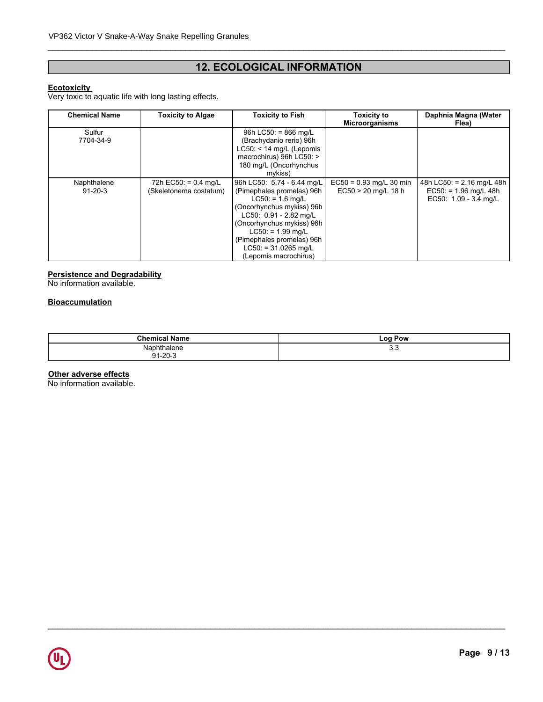# **12. ECOLOGICAL INFORMATION**

\_\_\_\_\_\_\_\_\_\_\_\_\_\_\_\_\_\_\_\_\_\_\_\_\_\_\_\_\_\_\_\_\_\_\_\_\_\_\_\_\_\_\_\_\_\_\_\_\_\_\_\_\_\_\_\_\_\_\_\_\_\_\_\_\_\_\_\_\_\_\_\_\_\_\_\_\_\_\_\_\_\_\_\_\_\_\_\_\_\_\_\_\_

# **Ecotoxicity**

Very toxic to aquatic life with long lasting effects.

| <b>Chemical Name</b>         | <b>Toxicity to Algae</b>                         | <b>Toxicity to Fish</b>                                                                                                                                                                                                                                                   | <b>Toxicity to</b><br><b>Microorganisms</b>        | Daphnia Magna (Water<br>Flea)                                                   |
|------------------------------|--------------------------------------------------|---------------------------------------------------------------------------------------------------------------------------------------------------------------------------------------------------------------------------------------------------------------------------|----------------------------------------------------|---------------------------------------------------------------------------------|
| Sulfur<br>7704-34-9          |                                                  | 96h LC50: = $866$ mg/L<br>(Brachydanio rerio) 96h<br>$LC50: < 14$ mg/L (Lepomis<br>macrochirus) 96h LC50: ><br>180 mg/L (Oncorhynchus<br>mykiss)                                                                                                                          |                                                    |                                                                                 |
| Naphthalene<br>$91 - 20 - 3$ | 72h EC50: = $0.4$ mg/L<br>(Skeletonema costatum) | 96h LC50: 5.74 - 6.44 mg/L<br>(Pimephales promelas) 96h<br>$LC50: = 1.6$ mg/L<br>(Oncorhynchus mykiss) 96h<br>LC50: 0.91 - 2.82 mg/L<br>(Oncorhynchus mykiss) 96h<br>$L C50: = 1.99$ mg/L<br>(Pimephales promelas) 96h<br>$LC50: = 31.0265$ mg/L<br>(Lepomis macrochirus) | $EC50 = 0.93$ mg/L 30 min<br>$EC50 > 20$ mg/L 18 h | 48h LC50: = $2.16$ mg/L 48h<br>$EC50: = 1.96$ mg/L 48h<br>EC50: 1.09 - 3.4 mg/L |

# **Persistence and Degradability**

No information available.

# **Bioaccumulation**

| <b>Chemical Name</b>          | Pow<br>LOO |
|-------------------------------|------------|
| Naphthalene<br>Q1.20.3<br>ั∠∪ | ບ.ບ        |

\_\_\_\_\_\_\_\_\_\_\_\_\_\_\_\_\_\_\_\_\_\_\_\_\_\_\_\_\_\_\_\_\_\_\_\_\_\_\_\_\_\_\_\_\_\_\_\_\_\_\_\_\_\_\_\_\_\_\_\_\_\_\_\_\_\_\_\_\_\_\_\_\_\_\_\_\_\_\_\_\_\_\_\_\_\_\_\_\_\_\_\_\_

# **Other adverse effects**

No information available.

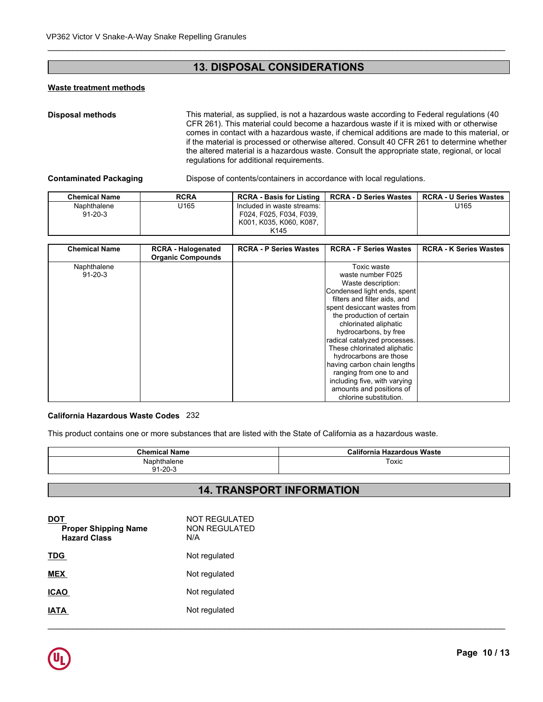# **13. DISPOSAL CONSIDERATIONS**

# **Waste treatment methods**

\_\_\_\_\_\_\_\_\_\_\_\_\_\_\_\_\_\_\_\_\_\_\_\_\_\_\_\_\_\_\_\_\_\_\_\_\_\_\_\_\_\_\_\_\_\_\_\_\_\_\_\_\_\_\_\_\_\_\_\_\_\_\_\_\_\_\_\_\_\_\_\_\_\_\_\_\_\_\_\_\_\_\_\_\_\_\_\_\_\_\_\_\_

| <b>Disposal methods</b>       |                  | This material, as supplied, is not a hazardous waste according to Federal regulations (40<br>CFR 261). This material could become a hazardous waste if it is mixed with or otherwise<br>comes in contact with a hazardous waste, if chemical additions are made to this material, or<br>if the material is processed or otherwise altered. Consult 40 CFR 261 to determine whether<br>the altered material is a hazardous waste. Consult the appropriate state, regional, or local<br>regulations for additional requirements. |                               |                               |  |  |
|-------------------------------|------------------|--------------------------------------------------------------------------------------------------------------------------------------------------------------------------------------------------------------------------------------------------------------------------------------------------------------------------------------------------------------------------------------------------------------------------------------------------------------------------------------------------------------------------------|-------------------------------|-------------------------------|--|--|
| <b>Contaminated Packaging</b> |                  | Dispose of contents/containers in accordance with local regulations.                                                                                                                                                                                                                                                                                                                                                                                                                                                           |                               |                               |  |  |
| <b>Chemical Name</b>          | <b>RCRA</b>      | <b>RCRA - Basis for Listing</b>                                                                                                                                                                                                                                                                                                                                                                                                                                                                                                | <b>RCRA - D Series Wastes</b> | <b>RCRA - U Series Wastes</b> |  |  |
| Naphthalene<br>$91 - 20 - 3$  | U <sub>165</sub> | Included in waste streams:<br>F024, F025, F034, F039,<br>K001, K035, K060, K087,<br>K <sub>145</sub>                                                                                                                                                                                                                                                                                                                                                                                                                           |                               | U <sub>165</sub>              |  |  |

|                               |                                                       | regulations for additional requirements.                                                             | the altered material is a hazardous waste. Consult the appropriate state, regional, or local |                               |
|-------------------------------|-------------------------------------------------------|------------------------------------------------------------------------------------------------------|----------------------------------------------------------------------------------------------|-------------------------------|
| <b>Contaminated Packaging</b> |                                                       |                                                                                                      | Dispose of contents/containers in accordance with local regulations.                         |                               |
| <b>Chemical Name</b>          | <b>RCRA</b>                                           | <b>RCRA - Basis for Listing</b>                                                                      | <b>RCRA - D Series Wastes</b>                                                                | <b>RCRA - U Series Wastes</b> |
| Naphthalene<br>$91 - 20 - 3$  | U165                                                  | Included in waste streams:<br>F024, F025, F034, F039,<br>K001, K035, K060, K087,<br>K <sub>145</sub> |                                                                                              | U165                          |
|                               |                                                       |                                                                                                      |                                                                                              |                               |
| <b>Chemical Name</b>          | <b>RCRA - Halogenated</b><br><b>Organic Compounds</b> | <b>RCRA - P Series Wastes</b>                                                                        | <b>RCRA - F Series Wastes</b>                                                                | <b>RCRA - K Series Wastes</b> |
| Naphthalene                   |                                                       |                                                                                                      | Toxic waste                                                                                  |                               |
| $91 - 20 - 3$                 |                                                       |                                                                                                      | waste number F025                                                                            |                               |
|                               |                                                       |                                                                                                      | Waste description:                                                                           |                               |
|                               |                                                       |                                                                                                      | Condensed light ends, spent                                                                  |                               |
|                               |                                                       |                                                                                                      | filters and filter aids, and                                                                 |                               |
|                               |                                                       |                                                                                                      | spent desiccant wastes from                                                                  |                               |
|                               |                                                       |                                                                                                      | the production of certain                                                                    |                               |
|                               |                                                       |                                                                                                      | chlorinated aliphatic                                                                        |                               |
|                               |                                                       |                                                                                                      | hydrocarbons, by free                                                                        |                               |
|                               |                                                       |                                                                                                      | radical catalyzed processes.                                                                 |                               |
|                               |                                                       |                                                                                                      | These chlorinated aliphatic<br>hydrocarbons are those                                        |                               |
|                               |                                                       |                                                                                                      | having carbon chain lengths                                                                  |                               |
|                               |                                                       |                                                                                                      | ranging from one to and                                                                      |                               |
|                               |                                                       |                                                                                                      | including five, with varying                                                                 |                               |
|                               |                                                       |                                                                                                      | amounts and positions of                                                                     |                               |
|                               |                                                       |                                                                                                      | chlorine substitution.                                                                       |                               |

# **California Hazardous Waste Codes** 232

This product contains one or more substances that are listed with the State of California as a hazardous waste.

| <b>Chemical Name</b> | <b>Hazardous Waste</b><br>California |
|----------------------|--------------------------------------|
| Naphthalene          | $\overline{\phantom{0}}$<br>Toxic    |
| `1-20-ఎ<br>ດ 4       |                                      |

# **14. TRANSPORT INFORMATION**

| $\underline{$<br><b>Proper Shipping Name</b><br><b>Hazard Class</b> | NOT REGULATED<br>NON REGULATED<br>N/A |
|---------------------------------------------------------------------|---------------------------------------|
| <b>TDG</b>                                                          | Not regulated                         |
| <b>MEX</b>                                                          | Not regulated                         |
| <b>ICAO</b>                                                         | Not regulated                         |
| <b>IATA</b>                                                         | Not regulated                         |
|                                                                     |                                       |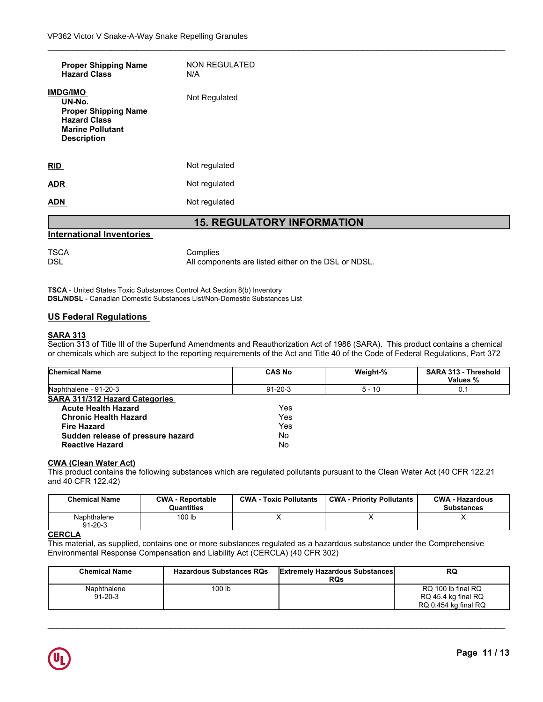| <b>ADN</b>                                                                                                                       | Not regulated               |  |
|----------------------------------------------------------------------------------------------------------------------------------|-----------------------------|--|
| <b>ADR</b>                                                                                                                       | Not regulated               |  |
| RID                                                                                                                              | Not regulated               |  |
| <b>IMDG/IMO</b><br>UN-No.<br><b>Proper Shipping Name</b><br><b>Hazard Class</b><br><b>Marine Pollutant</b><br><b>Description</b> | Not Regulated               |  |
| <b>Proper Shipping Name</b><br><b>Hazard Class</b>                                                                               | <b>NON REGULATED</b><br>N/A |  |

#### **International Inventories**

TSCA Complies<br>DSL All compo All components are listed either on the DSL or NDSL.

\_\_\_\_\_\_\_\_\_\_\_\_\_\_\_\_\_\_\_\_\_\_\_\_\_\_\_\_\_\_\_\_\_\_\_\_\_\_\_\_\_\_\_\_\_\_\_\_\_\_\_\_\_\_\_\_\_\_\_\_\_\_\_\_\_\_\_\_\_\_\_\_\_\_\_\_\_\_\_\_\_\_\_\_\_\_\_\_\_\_\_\_\_

**TSCA** - United States Toxic Substances Control Act Section 8(b) Inventory **DSL/NDSL** - Canadian Domestic Substances List/Non-Domestic Substances List

# **US Federal Regulations**

# **SARA 313**

Section 313 of Title III of the Superfund Amendments and Reauthorization Act of 1986 (SARA). This product contains a chemical or chemicals which are subject to the reporting requirements of the Act and Title 40 of the Code of Federal Regulations, Part 372

| <b>Chemical Name</b>                  |                                       | <b>CAS No</b>                 | Weight-%                                                                                                                     | <b>SARA 313 - Threshold</b><br>Values %     |
|---------------------------------------|---------------------------------------|-------------------------------|------------------------------------------------------------------------------------------------------------------------------|---------------------------------------------|
| Naphthalene - 91-20-3                 |                                       | $91 - 20 - 3$                 | $5 - 10$                                                                                                                     | 0.1                                         |
| <b>SARA 311/312 Hazard Categories</b> |                                       |                               |                                                                                                                              |                                             |
| <b>Acute Health Hazard</b>            |                                       | Yes                           |                                                                                                                              |                                             |
| <b>Chronic Health Hazard</b>          |                                       | Yes                           |                                                                                                                              |                                             |
| <b>Fire Hazard</b>                    |                                       | Yes                           |                                                                                                                              |                                             |
| Sudden release of pressure hazard     |                                       | No                            |                                                                                                                              |                                             |
| <b>Reactive Hazard</b>                |                                       | No                            |                                                                                                                              |                                             |
| <b>CWA (Clean Water Act)</b>          |                                       |                               |                                                                                                                              |                                             |
|                                       |                                       |                               | This product contains the following substances which are regulated pollutants pursuant to the Clean Water Act (40 CFR 122.21 |                                             |
| and 40 CFR 122.42)                    |                                       |                               |                                                                                                                              |                                             |
|                                       |                                       |                               |                                                                                                                              |                                             |
| <b>Chemical Name</b>                  | <b>CWA - Reportable</b><br>Quantities | <b>CWA - Toxic Pollutants</b> | <b>CWA - Priority Pollutants</b>                                                                                             | <b>CWA - Hazardous</b><br><b>Substances</b> |
| Naphthalene<br>$91 - 20 - 3$          | 100 lb                                | X                             | x                                                                                                                            | X                                           |
| <b>CERCLA</b>                         |                                       |                               |                                                                                                                              |                                             |

# **CWA (Clean Water Act)**

| <b>Chemical Name</b>         | <b>CWA - Reportable</b><br>Quantities | <b>CWA - Toxic Pollutants</b> | <b>CWA - Priority Pollutants</b> | <b>CWA - Hazardous</b><br><b>Substances</b> |
|------------------------------|---------------------------------------|-------------------------------|----------------------------------|---------------------------------------------|
| Naphthalene<br>$91 - 20 - 3$ | 100 lb                                |                               |                                  |                                             |

# **CERCLA**

| <b>Chemical Name</b>         | <b>CWA - Reportable</b><br><b>Quantities</b>                                | <b>CWA - Toxic Pollutants</b> | <b>CWA - Priority Pollutants</b>                    | <b>CWA - Hazardous</b><br><b>Substances</b>                                                                            |
|------------------------------|-----------------------------------------------------------------------------|-------------------------------|-----------------------------------------------------|------------------------------------------------------------------------------------------------------------------------|
| Naphthalene<br>$91 - 20 - 3$ | 100 lb                                                                      |                               | Χ                                                   |                                                                                                                        |
|                              |                                                                             |                               |                                                     |                                                                                                                        |
|                              | Environmental Response Compensation and Liability Act (CERCLA) (40 CFR 302) |                               |                                                     | This material, as supplied, contains one or more substances regulated as a hazardous substance under the Comprehensive |
| <b>Chemical Name</b>         | <b>Hazardous Substances RQs</b>                                             |                               | <b>Extremely Hazardous Substances</b><br><b>RQs</b> | <b>RQ</b>                                                                                                              |

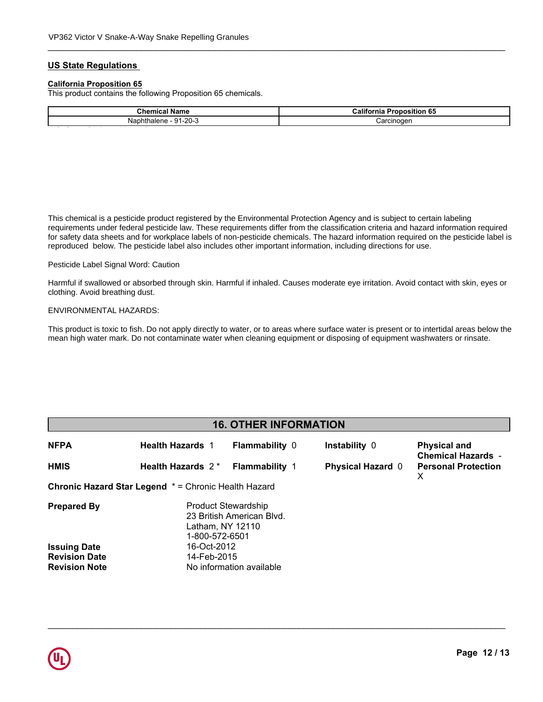# **US State Regulations**

# **California Proposition 65**

| <b>California Proposition 65</b><br><b>Chemical Name</b> |
|----------------------------------------------------------|
|                                                          |
| Naphthalene - 91-20-3<br>Carcinogen                      |

\_\_\_\_\_\_\_\_\_\_\_\_\_\_\_\_\_\_\_\_\_\_\_\_\_\_\_\_\_\_\_\_\_\_\_\_\_\_\_\_\_\_\_\_\_\_\_\_\_\_\_\_\_\_\_\_\_\_\_\_\_\_\_\_\_\_\_\_\_\_\_\_\_\_\_\_\_\_\_\_\_\_\_\_\_\_\_\_\_\_\_\_\_

This chemical is a pesticide product registered by the Environmental Protection Agency and is subject to certain labeling for safety data sheets and for workplace labels of non-pesticide chemicals. The hazard information required on the pesticide label is requirements under federal pesticide law. These requirements differ from the classification criteria and hazard information required reproduced below. The pesticide label also includes other important information, including directions for use.

# **Mexicolarized** Circuit Continued Pesticide Label Signal Word: Caution

**Component Component Component Component Component Component Component Component Component Component Component** Harmful if swallowed or absorbed through skin. Harmful if inhaled. Causes moderate eye irritation. Avoid contact with skin, eyes or<br>slathing, Avoid brastbing duat. clothing. Avoid breathing dust.

#### ENVIRONMENTAL HAZARDS:

**Canada** mean high water mark. Do not contaminate water when cleaning equipment or disposing of equipment washwaters or rinsate.This product is toxic to fish. Do not apply directly to water, or to areas where surface water is present or to intertidal areas below the

# **16. OTHER INFORMATION**

| <b>NFPA</b>                                                 | <b>Health Hazards 1</b>                                          | <b>Flammability 0</b>     | Instability 0            | <b>Physical and</b><br><b>Chemical Hazards -</b> |
|-------------------------------------------------------------|------------------------------------------------------------------|---------------------------|--------------------------|--------------------------------------------------|
| <b>HMIS</b>                                                 | Health Hazards 2*                                                | <b>Flammability 1</b>     | <b>Physical Hazard 0</b> | <b>Personal Protection</b><br>X                  |
| <b>Chronic Hazard Star Legend * = Chronic Health Hazard</b> |                                                                  |                           |                          |                                                  |
| <b>Prepared By</b>                                          | <b>Product Stewardship</b><br>Latham, NY 12110<br>1-800-572-6501 | 23 British American Blvd. |                          |                                                  |
| <b>Issuing Date</b>                                         | 16-Oct-2012                                                      |                           |                          |                                                  |
| <b>Revision Date</b>                                        | 14-Feb-2015                                                      |                           |                          |                                                  |
| <b>Revision Note</b>                                        |                                                                  | No information available  |                          |                                                  |